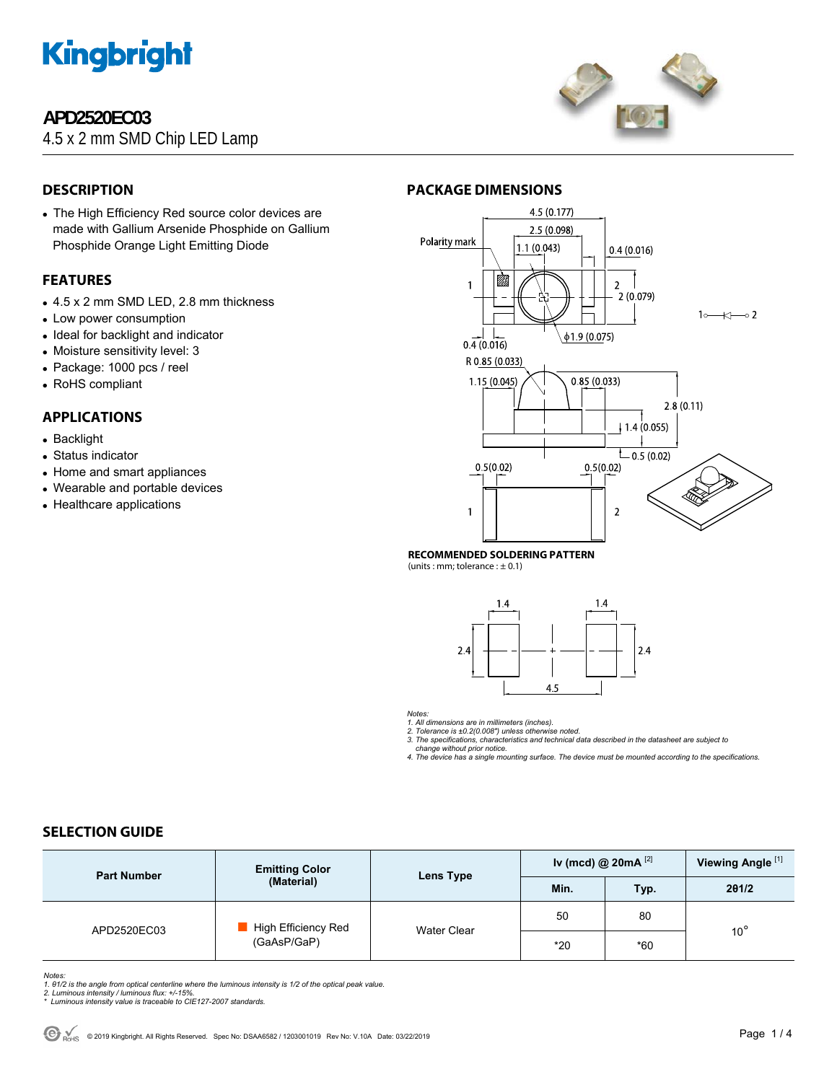

# **APD2520EC03**

4.5 x 2 mm SMD Chip LED Lamp



# **DESCRIPTION**

• The High Efficiency Red source color devices are made with Gallium Arsenide Phosphide on Gallium Phosphide Orange Light Emitting Diode

## **FEATURES**

- 4.5 x 2 mm SMD LED, 2.8 mm thickness
- Low power consumption
- Ideal for backlight and indicator
- Moisture sensitivity level: 3
- Package: 1000 pcs / reel
- RoHS compliant

# **APPLICATIONS**

- Backlight
- Status indicator
- Home and smart appliances
- Wearable and portable devices
- Healthcare applications



#### **RECOMMENDED SOLDERING PATTERN**

(units : mm; tolerance :  $\pm$  0.1)



*Notes:* 

1. All dimensions are in millimeters (inches).<br>2. Tolerance is ±0.2(0.008") unless otherwise noted.<br>3. The specifications, characteristics and technical data described in the datasheet are subject to

 *change without prior notice.* 

*4. The device has a single mounting surface. The device must be mounted according to the specifications.* 

## **SELECTION GUIDE**

| <b>Part Number</b> | <b>Emitting Color</b><br>(Material) | Lens Type   | Iv (mcd) @ $20mA$ <sup>[2]</sup> |       | Viewing Angle <sup>[1]</sup> |
|--------------------|-------------------------------------|-------------|----------------------------------|-------|------------------------------|
|                    |                                     |             | Min.                             | Typ.  | 201/2                        |
| APD2520EC03        | High Efficiency Red<br>(GaAsP/GaP)  | Water Clear | 50                               | 80    |                              |
|                    |                                     |             | $*20$                            | $*60$ | $10^{\circ}$                 |

*Notes:* 

1. 01/2 is the angle from optical centerline where the luminous intensity is 1/2 of the optical peak value.<br>2. Luminous intensity / luminous flux: +/-15%.<br>\* Luminous intensity value is traceable to CIE127-2007 standards.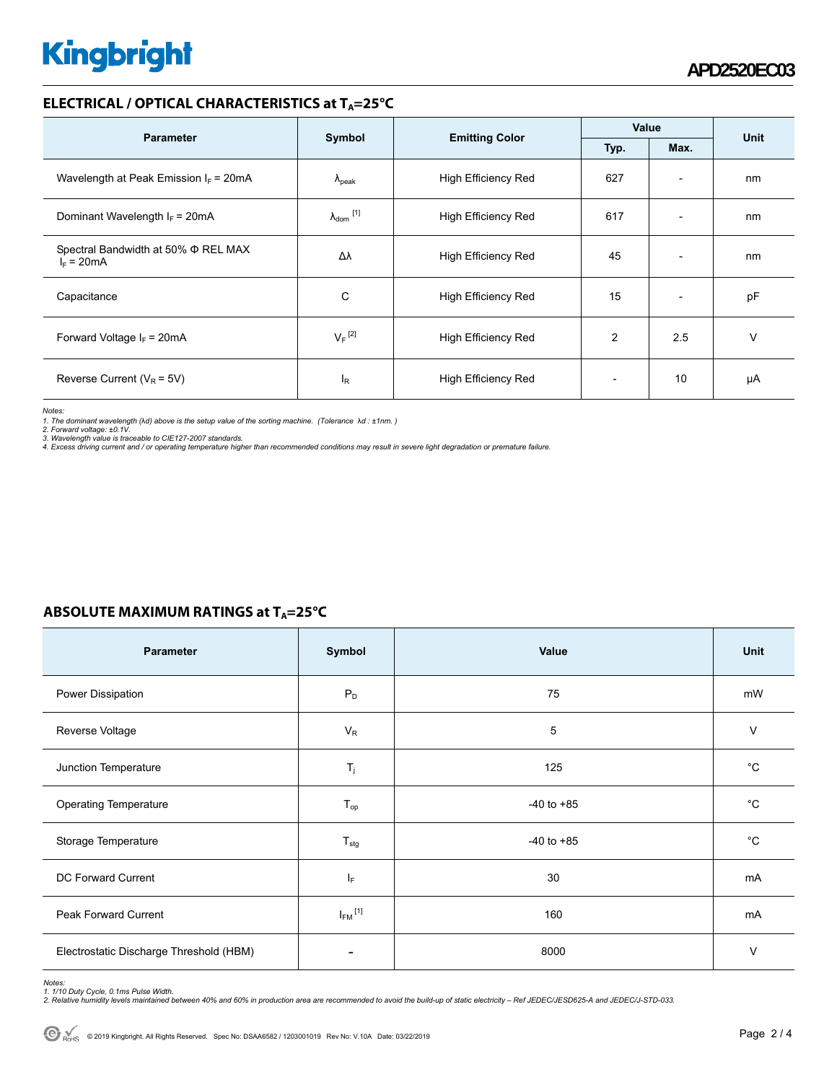# **Kingbright**

### **ELECTRICAL / OPTICAL CHARACTERISTICS at TA=25°C**

| <b>Parameter</b>                                    | Symbol                     |                            | Value          |                          |      |
|-----------------------------------------------------|----------------------------|----------------------------|----------------|--------------------------|------|
|                                                     |                            | <b>Emitting Color</b>      | Typ.           | Max.                     | Unit |
| Wavelength at Peak Emission $I_F$ = 20mA            | $\Lambda_{\rm peak}$       | <b>High Efficiency Red</b> | 627            | $\overline{\phantom{a}}$ | nm   |
| Dominant Wavelength $I_F = 20 \text{mA}$            | $\lambda_{\text{dom}}$ [1] | <b>High Efficiency Red</b> | 617            | $\overline{\phantom{a}}$ | nm   |
| Spectral Bandwidth at 50% Φ REL MAX<br>$I_F = 20mA$ | Δλ                         | <b>High Efficiency Red</b> | 45             | $\overline{\phantom{a}}$ | nm   |
| Capacitance                                         | С                          | High Efficiency Red        | 15             | $\overline{\phantom{a}}$ | pF   |
| Forward Voltage $I_F = 20mA$                        | $V_F$ <sup>[2]</sup>       | High Efficiency Red        | $\overline{2}$ | 2.5                      | v    |
| Reverse Current ( $V_R$ = 5V)                       | l <sub>R</sub>             | <b>High Efficiency Red</b> |                | 10                       | μA   |

*Notes:* 

1. The dominant wavelength (λd) above is the setup value of the sorting machine. (Tolerance λd : ±1nm. )<br>2. Forward voltage: ±0.1V.<br>3. Wavelength value is traceable to CIE127-2007 standards.<br>4. Excess driving current and /

| ABSOLUTE MAXIMUM RATINGS at $T_A = 25^{\circ}C$ |  |
|-------------------------------------------------|--|
|-------------------------------------------------|--|

| <b>Parameter</b>                        | Symbol                  | Value          | Unit        |
|-----------------------------------------|-------------------------|----------------|-------------|
| Power Dissipation                       | $P_D$                   | 75             | mW          |
| Reverse Voltage                         | $V_R$                   | 5              | $\vee$      |
| Junction Temperature                    | $T_j$                   | 125            | $^{\circ}C$ |
| <b>Operating Temperature</b>            | $T_{op}$                | $-40$ to $+85$ | $^{\circ}C$ |
| Storage Temperature                     | $T_{\text{stg}}$        | $-40$ to $+85$ | $^{\circ}C$ |
| DC Forward Current                      | $I_F$                   | 30             | mA          |
| <b>Peak Forward Current</b>             | $I_{FM}$ <sup>[1]</sup> | 160            | mA          |
| Electrostatic Discharge Threshold (HBM) | ۰                       | 8000           | $\vee$      |

Notes:<br>1. 1/10 Duty Cycle, 0.1ms Pulse Width.<br>2. Relative humidity levels maintained between 40% and 60% in production area are recommended to avoid the build-up of static electricity – Ref JEDEC/JESD625-A and JEDEC/J-STD-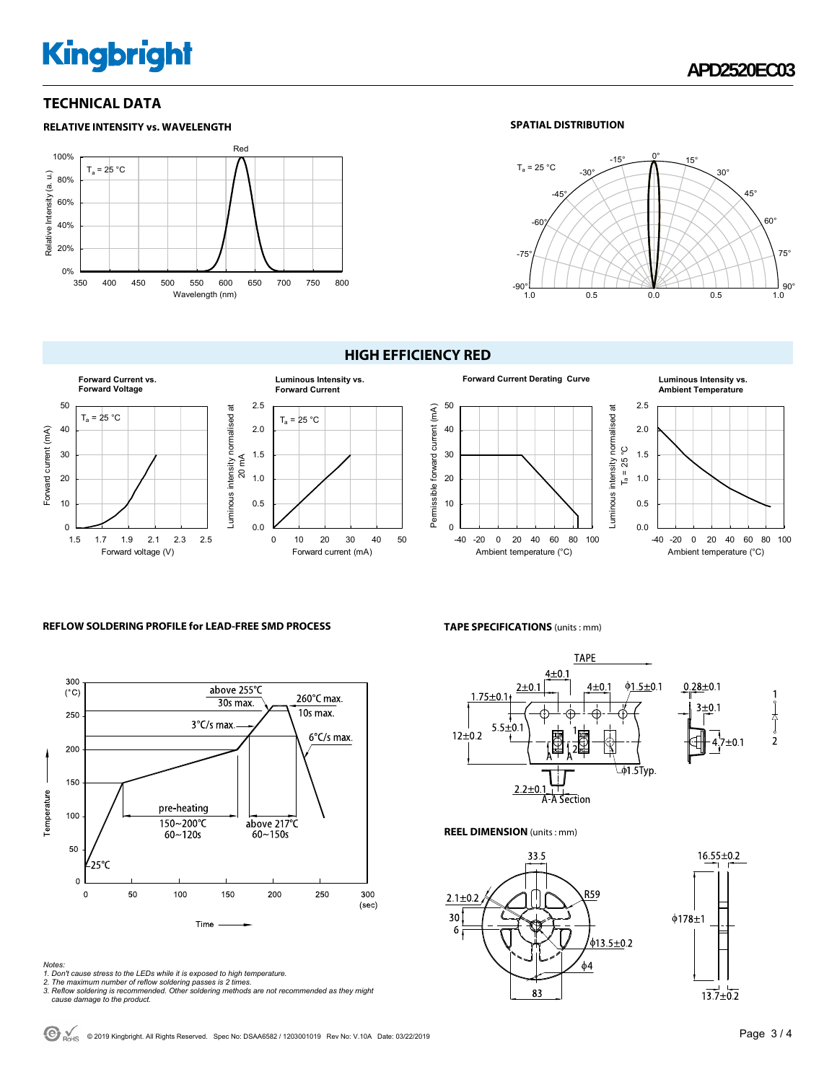# **Kingbright**

## **TECHNICAL DATA**

## **RELATIVE INTENSITY vs. WAVELENGTH**



#### **SPATIAL DISTRIBUTION**



# **Luminous Intensity vs. Forward Current** 2.5 Luminous intensity normalised at Luminous intensity normalised at  $T_a = 25 °C$ 2.0

0 10 20 30 40 50

Forward current (mA)

0.0 0.5 1.0 1.5

20 mA

### **HIGH EFFICIENCY RED**



# **Ambient Temperature**



#### **REFLOW SOLDERING PROFILE for LEAD-FREE SMD PROCESS**

1.5 1.7 1.9 2.1 2.3 2.5

Forward voltage (V)



Forward current (mA)

Forward current (mA)

 $T_a = 25 °C$ 

**Forward Current vs. Forward Voltage**

*Notes: 1. Don't cause stress to the LEDs while it is exposed to high temperature. 2. The maximum number of reflow soldering passes is 2 times.* 

*3. Reflow soldering is recommended. Other soldering methods are not recommended as they might cause damage to the product.* 

#### **TAPE SPECIFICATIONS** (units : mm)



**REEL DIMENSION** (units : mm)



 $16.55 \pm 0.2$  $\phi$ 178 $\pm$ 1  $13.7 \pm 0.2$ 

 $\bigodot$ <sub>RoHS</sub> © 2019 Kingbright. All Rights Reserved. Spec No: DSAA6582 / 1203001019 Rev No: V.10A Date: 03/22/2019